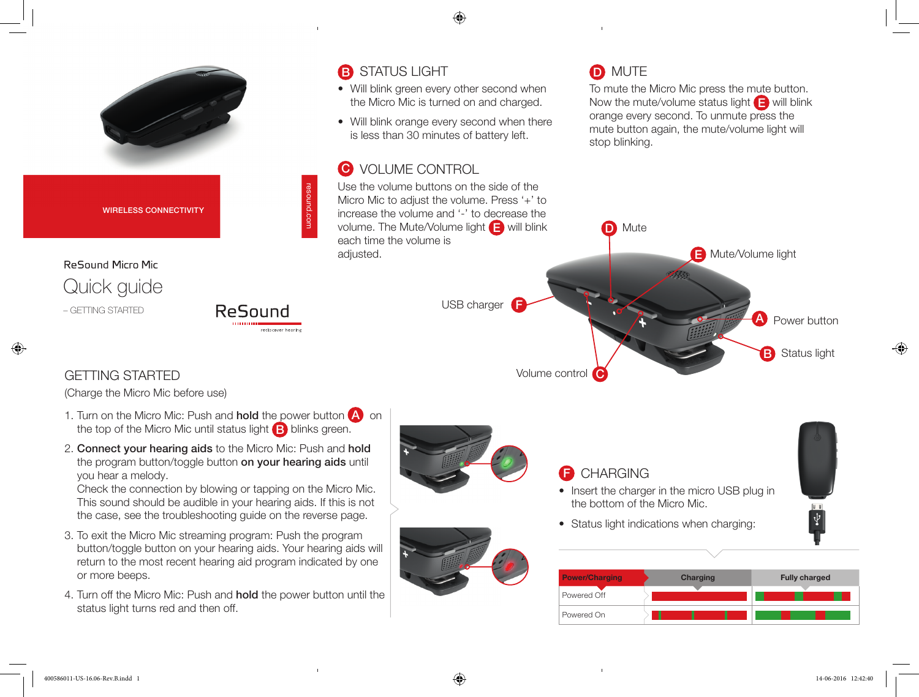

- 1. Turn on the Micro Mic: Push and **hold** the power button  $\bigwedge$  on the top of the Micro Mic until status light  $\Box$  blinks green.
- 2. Connect your hearing aids to the Micro Mic: Push and hold the program button/toggle button on your hearing aids until you hear a melody.

Check the connection by blowing or tapping on the Micro Mic. This sound should be audible in your hearing aids. If this is not the case, see the troubleshooting guide on the reverse page.

- 3. To exit the Micro Mic streaming program: Push the program button/toggle button on your hearing aids. Your hearing aids will return to the most recent hearing aid program indicated by one or more beeps.
- 4. Turn off the Micro Mic: Push and **hold** the power button until the status light turns red and then off.





## **B** CHARGING

- Insert the charger in the micro USB plug in the bottom of the Micro Mic.
- Status light indications when charging:

| <b>Power/Charging</b> | Charging | <b>Fully charged</b> |
|-----------------------|----------|----------------------|
| Powered Off           |          |                      |
| Powered On            |          |                      |

 $\boldsymbol{\Psi}$